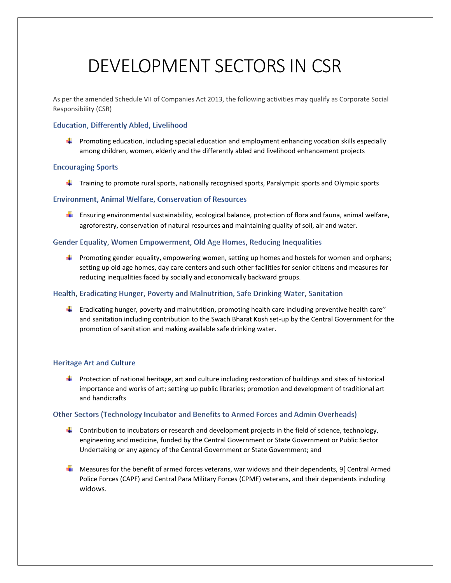# DEVELOPMENT SECTORS IN CSR

As per the amended Schedule VII of Companies Act 2013, the following activities may qualify as Corporate Social Responsibility (CSR)

# **Education, Differently Abled, Livelihood**

**Promoting education, including special education and employment enhancing vocation skills especially** among children, women, elderly and the differently abled and livelihood enhancement projects

## **Encouraging Sports**

 $\ddot{\phantom{1}}$  Training to promote rural sports, nationally recognised sports, Paralympic sports and Olympic sports

# **Environment, Animal Welfare, Conservation of Resources**

**E** Ensuring environmental sustainability, ecological balance, protection of flora and fauna, animal welfare, agroforestry, conservation of natural resources and maintaining quality of soil, air and water.

## Gender Equality, Women Empowerment, Old Age Homes, Reducing Inequalities

**Promoting gender equality, empowering women, setting up homes and hostels for women and orphans;** setting up old age homes, day care centers and such other facilities for senior citizens and measures for reducing inequalities faced by socially and economically backward groups.

# Health, Eradicating Hunger, Poverty and Malnutrition, Safe Drinking Water, Sanitation

Eradicating hunger, poverty and malnutrition, promoting health care including preventive health care'' and sanitation including contribution to the Swach Bharat Kosh set-up by the Central Government for the promotion of sanitation and making available safe drinking water.

# **Heritage Art and Culture**

**Protection of national heritage, art and culture including restoration of buildings and sites of historical** importance and works of art; setting up public libraries; promotion and development of traditional art and handicrafts

#### Other Sectors (Technology Incubator and Benefits to Armed Forces and Admin Overheads)

- **Contribution to incubators or research and development projects in the field of science, technology,** engineering and medicine, funded by the Central Government or State Government or Public Sector Undertaking or any agency of the Central Government or State Government; and
- Measures for the benefit of armed forces veterans, war widows and their dependents, 9[ Central Armed Police Forces (CAPF) and Central Para Military Forces (CPMF) veterans, and their dependents including widows.